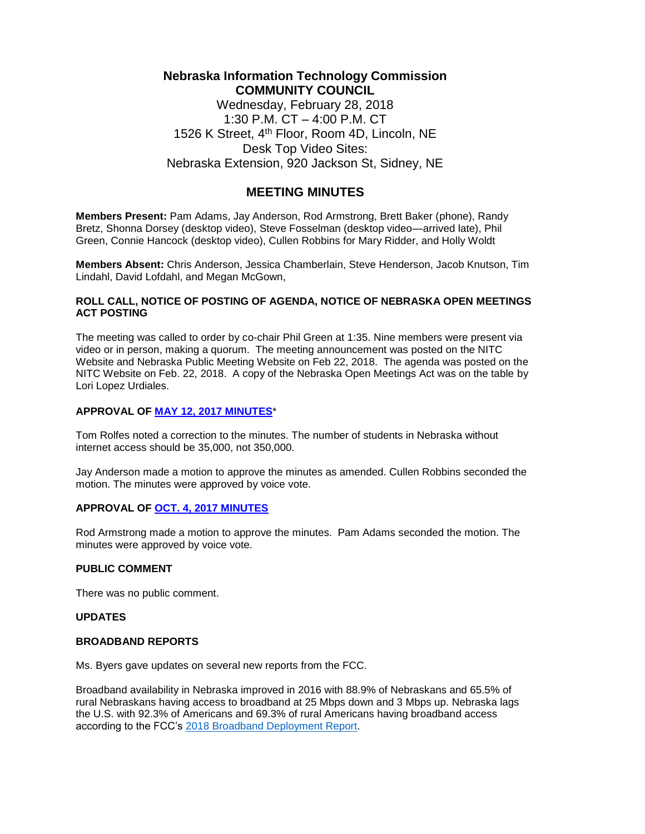# **Nebraska Information Technology Commission COMMUNITY COUNCIL** Wednesday, February 28, 2018 1:30 P.M. CT – 4:00 P.M. CT 1526 K Street, 4<sup>th</sup> Floor, Room 4D, Lincoln, NE

Desk Top Video Sites: Nebraska Extension, 920 Jackson St, Sidney, NE

# **MEETING MINUTES**

**Members Present:** Pam Adams, Jay Anderson, Rod Armstrong, Brett Baker (phone), Randy Bretz, Shonna Dorsey (desktop video), Steve Fosselman (desktop video—arrived late), Phil Green, Connie Hancock (desktop video), Cullen Robbins for Mary Ridder, and Holly Woldt

**Members Absent:** Chris Anderson, Jessica Chamberlain, Steve Henderson, Jacob Knutson, Tim Lindahl, David Lofdahl, and Megan McGown,

### **ROLL CALL, NOTICE OF POSTING OF AGENDA, NOTICE OF NEBRASKA OPEN MEETINGS ACT POSTING**

The meeting was called to order by co-chair Phil Green at 1:35. Nine members were present via video or in person, making a quorum. The meeting announcement was posted on the NITC Website and Nebraska Public Meeting Website on Feb 22, 2018. The agenda was posted on the NITC Website on Feb. 22, 2018. A copy of the Nebraska Open Meetings Act was on the table by Lori Lopez Urdiales.

# **APPROVAL OF [MAY 12, 2017](http://www.nitc.ne.gov/community_council/meetings/minutes/CCminutes2017May12.pdf) [MINUTES](http://www.nitc.ne.gov/community_council/meetings/minutes/CCminutes2017May12.pdf)**[\\*](http://www.nitc.ne.gov/community_council/meetings/minutes/CCminutes2017May12.pdf)

Tom Rolfes noted a correction to the minutes. The number of students in Nebraska without internet access should be 35,000, not 350,000.

Jay Anderson made a motion to approve the minutes as amended. Cullen Robbins seconded the motion. The minutes were approved by voice vote.

### **APPROVAL OF [OCT. 4, 2017 MINUTES](http://nitc.ne.gov/community_council/meetings/minutes/2017Oct04CCminutes.pdf)**

Rod Armstrong made a motion to approve the minutes. Pam Adams seconded the motion. The minutes were approved by voice vote.

### **PUBLIC COMMENT**

There was no public comment.

### **UPDATES**

#### **BROADBAND REPORTS**

Ms. Byers gave updates on several new reports from the FCC.

Broadband availability in Nebraska improved in 2016 with 88.9% of Nebraskans and 65.5% of rural Nebraskans having access to broadband at 25 Mbps down and 3 Mbps up. Nebraska lags the U.S. with 92.3% of Americans and 69.3% of rural Americans having broadband access according to the FCC's [2018 Broadband Deployment Report.](https://transition.fcc.gov/Daily_Releases/Daily_Business/2018/db0202/FCC-18-10A1.pdf)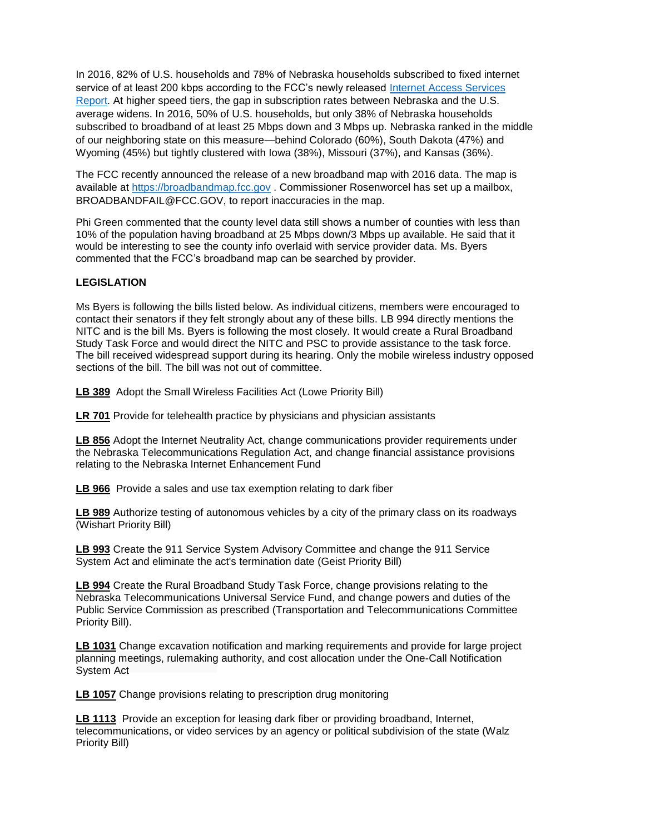In 2016, 82% of U.S. households and 78% of Nebraska households subscribed to fixed internet service of at least 200 kbps according to the FCC's newly released [Internet Access Services](https://transition.fcc.gov/Daily_Releases/Daily_Business/2018/db0207/DOC-349074A1.pdf)  [Report.](https://transition.fcc.gov/Daily_Releases/Daily_Business/2018/db0207/DOC-349074A1.pdf) At higher speed tiers, the gap in subscription rates between Nebraska and the U.S. average widens. In 2016, 50% of U.S. households, but only 38% of Nebraska households subscribed to broadband of at least 25 Mbps down and 3 Mbps up. Nebraska ranked in the middle of our neighboring state on this measure—behind Colorado (60%), South Dakota (47%) and Wyoming (45%) but tightly clustered with Iowa (38%), Missouri (37%), and Kansas (36%).

The FCC recently announced the release of a new broadband map with 2016 data. The map is available at [https://broadbandmap.fcc.gov](https://broadbandmap.fcc.gov/) . Commissioner Rosenworcel has set up a mailbox, BROADBANDFAIL@FCC.GOV, to report inaccuracies in the map.

Phi Green commented that the county level data still shows a number of counties with less than 10% of the population having broadband at 25 Mbps down/3 Mbps up available. He said that it would be interesting to see the county info overlaid with service provider data. Ms. Byers commented that the FCC's broadband map can be searched by provider.

# **LEGISLATION**

Ms Byers is following the bills listed below. As individual citizens, members were encouraged to contact their senators if they felt strongly about any of these bills. LB 994 directly mentions the NITC and is the bill Ms. Byers is following the most closely. It would create a Rural Broadband Study Task Force and would direct the NITC and PSC to provide assistance to the task force. The bill received widespread support during its hearing. Only the mobile wireless industry opposed sections of the bill. The bill was not out of committee.

**LB [389](https://nebraskalegislature.gov/bills/view_bill.php?DocumentID=30897)** Adopt the Small Wireless Facilities Act (Lowe Priority Bill)

**[LR 701](https://nebraskalegislature.gov/bills/view_bill.php?DocumentID=34470)** [P](https://nebraskalegislature.gov/bills/view_bill.php?DocumentID=34470)rovide for telehealth practice by physicians and physician assistants

**[LB 856](https://nebraskalegislature.gov/bills/view_bill.php?DocumentID=34311)** [A](https://nebraskalegislature.gov/bills/view_bill.php?DocumentID=34311)dopt the Internet Neutrality Act, change communications provider requirements under the Nebraska Telecommunications Regulation Act, and change financial assistance provisions relating to the Nebraska Internet Enhancement Fund

**[LB 966](https://nebraskalegislature.gov/bills/view_bill.php?DocumentID=34207)** Provide a sales and use tax exemption relating to dark fiber

**[LB 989](https://nebraskalegislature.gov/bills/view_bill.php?DocumentID=34326)** [A](https://nebraskalegislature.gov/bills/view_bill.php?DocumentID=34326)uthorize testing of autonomous vehicles by a city of the primary class on its roadways (Wishart Priority Bill)

**[LB 993](https://nebraskalegislature.gov/bills/view_bill.php?DocumentID=34446)** [C](https://nebraskalegislature.gov/bills/view_bill.php?DocumentID=34446)reate the 911 Service System Advisory Committee and change the 911 Service System Act and eliminate the act's termination date (Geist Priority Bill)

**[LB 994](https://nebraskalegislature.gov/bills/view_bill.php?DocumentID=34425)** [C](https://nebraskalegislature.gov/bills/view_bill.php?DocumentID=34425)reate the Rural Broadband Study Task Force, change provisions relating to the Nebraska Telecommunications Universal Service Fund, and change powers and duties of the Public Service Commission as prescribed (Transportation and Telecommunications Committee Priority Bill).

**[LB 1031](https://nebraskalegislature.gov/bills/view_bill.php?DocumentID=34172)** Change excavation notification and marking requirements and provide for large project planning meetings, rulemaking authority, and cost allocation under the One-Call Notification System Act

**[LB 1057](https://nebraskalegislature.gov/bills/view_bill.php?DocumentID=34663)** Change provisions relating to prescription drug monitoring

**[LB 1113](https://nebraskalegislature.gov/bills/view_bill.php?DocumentID=34711)** Provide an exception for leasing dark fiber or providing broadband, Internet, telecommunications, or video services by an agency or political subdivision of the state (Walz Priority Bill)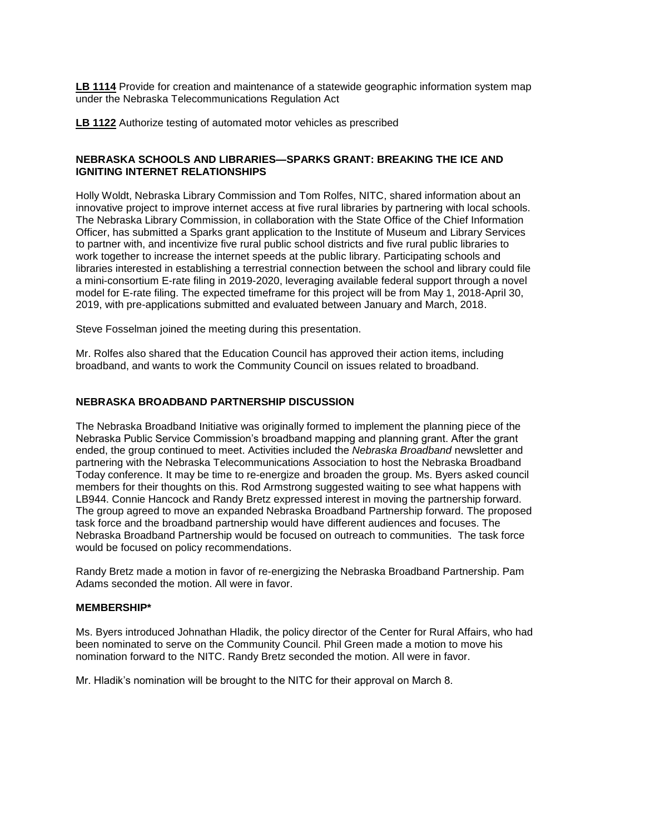**[LB 1114](https://nebraskalegislature.gov/bills/view_bill.php?DocumentID=34289)** Provide for creation and maintenance of a statewide geographic information system map under the Nebraska Telecommunications Regulation Act

**[LB 1122](https://nebraskalegislature.gov/bills/view_bill.php?DocumentID=34745)** Authorize testing of automated motor vehicles as prescribed

# **NEBRASKA SCHOOLS AND LIBRARIES—SPARKS GRANT: BREAKING THE ICE AND IGNITING INTERNET RELATIONSHIPS**

Holly Woldt, Nebraska Library Commission and Tom Rolfes, NITC, shared information about an innovative project to improve internet access at five rural libraries by partnering with local schools. The Nebraska Library Commission, in collaboration with the State Office of the Chief Information Officer, has submitted a Sparks grant application to the Institute of Museum and Library Services to partner with, and incentivize five rural public school districts and five rural public libraries to work together to increase the internet speeds at the public library. Participating schools and libraries interested in establishing a terrestrial connection between the school and library could file a mini-consortium E-rate filing in 2019-2020, leveraging available federal support through a novel model for E-rate filing. The expected timeframe for this project will be from May 1, 2018-April 30, 2019, with pre-applications submitted and evaluated between January and March, 2018.

Steve Fosselman joined the meeting during this presentation.

Mr. Rolfes also shared that the Education Council has approved their action items, including broadband, and wants to work the Community Council on issues related to broadband.

# **NEBRASKA BROADBAND PARTNERSHIP DISCUSSION**

The Nebraska Broadband Initiative was originally formed to implement the planning piece of the Nebraska Public Service Commission's broadband mapping and planning grant. After the grant ended, the group continued to meet. Activities included the *Nebraska Broadband* newsletter and partnering with the Nebraska Telecommunications Association to host the Nebraska Broadband Today conference. It may be time to re-energize and broaden the group. Ms. Byers asked council members for their thoughts on this. Rod Armstrong suggested waiting to see what happens with LB944. Connie Hancock and Randy Bretz expressed interest in moving the partnership forward. The group agreed to move an expanded Nebraska Broadband Partnership forward. The proposed task force and the broadband partnership would have different audiences and focuses. The Nebraska Broadband Partnership would be focused on outreach to communities. The task force would be focused on policy recommendations.

Randy Bretz made a motion in favor of re-energizing the Nebraska Broadband Partnership. Pam Adams seconded the motion. All were in favor.

# **MEMBERSHIP\***

Ms. Byers introduced Johnathan Hladik, the policy director of the Center for Rural Affairs, who had been nominated to serve on the Community Council. Phil Green made a motion to move his nomination forward to the NITC. Randy Bretz seconded the motion. All were in favor.

Mr. Hladik's nomination will be brought to the NITC for their approval on March 8.